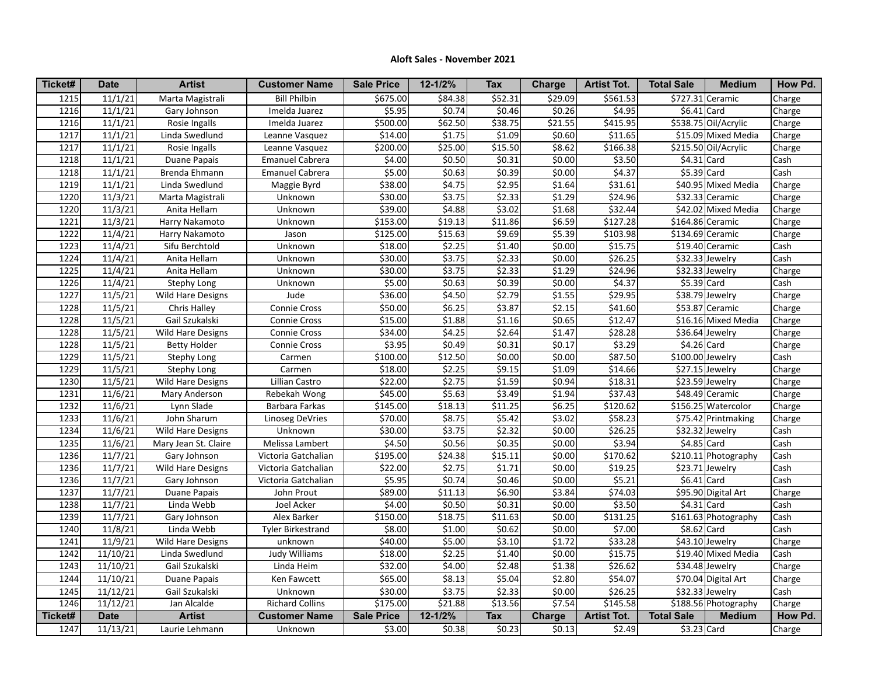## **Aloft Sales - November 2021**

| Ticket#           | <b>Date</b> | <b>Artist</b>            | <b>Customer Name</b>     | <b>Sale Price</b> | 12-1/2%     | <b>Tax</b> | Charge              | <b>Artist Tot.</b>  | <b>Total Sale</b> | <b>Medium</b>               | How Pd. |
|-------------------|-------------|--------------------------|--------------------------|-------------------|-------------|------------|---------------------|---------------------|-------------------|-----------------------------|---------|
| 1215              | 11/1/21     | Marta Magistrali         | <b>Bill Philbin</b>      | \$675.00          | \$84.38     | \$52.31    | \$29.09             | \$561.53            |                   | \$727.31 Ceramic            | Charge  |
| 1216              | 11/1/21     | Gary Johnson             | Imelda Juarez            | \$5.95            | \$0.74      | \$0.46     | \$0.26              | \$4.95              | $$6.41$ Card      |                             | Charge  |
| 1216              | 11/1/21     | Rosie Ingalls            | Imelda Juarez            | \$500.00          | \$62.50     | \$38.75    | \$21.55             | \$415.95            |                   | \$538.75 Oil/Acrylic        | Charge  |
| 1217              | 11/1/21     | Linda Swedlund           | Leanne Vasquez           | \$14.00           | \$1.75      | \$1.09     | \$0.60              | \$11.65             |                   | \$15.09 Mixed Media         | Charge  |
| $\overline{1217}$ | 11/1/21     | Rosie Ingalls            | Leanne Vasquez           | \$200.00          | \$25.00     | \$15.50    | \$8.62              | \$166.38            |                   | \$215.50 Oil/Acrylic        | Charge  |
| 1218              | 11/1/21     | Duane Papais             | <b>Emanuel Cabrera</b>   | \$4.00            | \$0.50      | \$0.31     | \$0.00              | \$3.50              | $$4.31$ Card      |                             | Cash    |
| 1218              | 11/1/21     | Brenda Ehmann            | <b>Emanuel Cabrera</b>   | \$5.00            | \$0.63      | \$0.39     | \$0.00              | \$4.37              | $$5.39$ Card      |                             | Cash    |
| 1219              | 11/1/21     | Linda Swedlund           | Maggie Byrd              | \$38.00           | \$4.75      | \$2.95     | \$1.64              | 531.61              |                   | \$40.95 Mixed Media         | Charge  |
| 1220              | 11/3/21     | Marta Magistrali         | Unknown                  | \$30.00           | 53.75       | \$2.33     | $\overline{$}31.29$ | \$24.96             |                   | \$32.33 Ceramic             | Charge  |
| 1220              | 11/3/21     | Anita Hellam             | Unknown                  | \$39.00           | \$4.88      | \$3.02     | \$1.68              | \$32.44             |                   | \$42.02 Mixed Media         | Charge  |
| 1221              | 11/3/21     | Harry Nakamoto           | Unknown                  | \$153.00          | \$19.13     | \$11.86    | \$6.59              | \$127.28            |                   | \$164.86 Ceramic            | Charge  |
| 1222              | 11/4/21     | Harry Nakamoto           | Jason                    | \$125.00          | \$15.63     | \$9.69     | \$5.39              | \$103.98            |                   | $$134.69$ Ceramic           | Charge  |
| 1223              | 11/4/21     | Sifu Berchtold           | Unknown                  | \$18.00           | \$2.25      | \$1.40     | \$0.00              | \$15.75             |                   | $\overline{$19.40}$ Ceramic | Cash    |
| 1224              | 11/4/21     | Anita Hellam             | Unknown                  | \$30.00           | \$3.75      | \$2.33     | \$0.00              | \$26.25             |                   | \$32.33 Jewelry             | Cash    |
| 1225              | 11/4/21     | Anita Hellam             | Unknown                  | \$30.00           | \$3.75      | \$2.33     | \$1.29              | \$24.96             |                   | \$32.33 Jewelry             | Charge  |
| 1226              | 11/4/21     | <b>Stephy Long</b>       | Unknown                  | \$5.00            | \$0.63      | \$0.39     | \$0.00              | \$4.37              | \$5.39 Card       |                             | Cash    |
| 1227              | 11/5/21     | Wild Hare Designs        | Jude                     | \$36.00           | \$4.50      | \$2.79     | \$1.55              | \$29.95             |                   | \$38.79 Jewelry             | Charge  |
| 1228              | 11/5/21     | Chris Halley             | Connie Cross             | \$50.00           | \$6.25      | \$3.87     | \$2.15              | \$41.60             |                   | \$53.87 Ceramic             | Charge  |
| 1228              | 11/5/21     | Gail Szukalski           | Connie Cross             | \$15.00           | \$1.88      | \$1.16     | \$0.65              | \$12.47             |                   | \$16.16 Mixed Media         | Charge  |
| 1228              | 11/5/21     | <b>Wild Hare Designs</b> | <b>Connie Cross</b>      | \$34.00           | \$4.25      | \$2.64     | \$1.47              | \$28.28             |                   | \$36.64 Jewelry             | Charge  |
| 1228              | 11/5/21     | <b>Betty Holder</b>      | <b>Connie Cross</b>      | \$3.95            | \$0.49      | \$0.31     | \$0.17              | \$3.29              | $$4.26$ Card      |                             | Charge  |
| 1229              | 11/5/21     | Stephy Long              | Carmen                   | \$100.00          | \$12.50     | \$0.00     | \$0.00              | \$87.50             | \$100.00 Jewelry  |                             | Cash    |
| 1229              | 11/5/21     | Stephy Long              | Carmen                   | \$18.00           | \$2.25      | \$9.15     | \$1.09              | $\overline{$}14.66$ |                   | $\overline{$}27.15$ Jewelry | Charge  |
| 1230              | 11/5/21     | Wild Hare Designs        | Lillian Castro           | \$22.00           | \$2.75      | \$1.59     | \$0.94              | \$18.31             |                   | $\frac{1}{223.59}$ Jewelry  | Charge  |
| 1231              | 11/6/21     | Mary Anderson            | Rebekah Wong             | \$45.00           | \$5.63      | \$3.49     | \$1.94              | \$37.43             |                   | \$48.49 Ceramic             | Charge  |
| 1232              | 11/6/21     | Lynn Slade               | Barbara Farkas           | \$145.00          | \$18.13     | \$11.25    | \$6.25              | \$120.62            |                   | \$156.25 Watercolor         | Charge  |
| 1233              | 11/6/21     | John Sharum              | Linoseg DeVries          | \$70.00           | \$8.75      | \$5.42     | \$3.02              | \$58.23             |                   | \$75.42 Printmaking         | Charge  |
| 1234              | 11/6/21     | <b>Wild Hare Designs</b> | Unknown                  | \$30.00           | 53.75       | \$2.32     | \$0.00              | \$26.25             |                   | \$32.32 Jewelry             | Cash    |
| 1235              | 11/6/21     | Mary Jean St. Claire     | Melissa Lambert          | \$4.50            | \$0.56      | \$0.35     | \$0.00              | \$3.94              | $$4.85$ Card      |                             | Cash    |
| 1236              | 11/7/21     | Gary Johnson             | Victoria Gatchalian      | \$195.00          | \$24.38     | \$15.11    | \$0.00              | \$170.62            |                   | \$210.11 Photography        | Cash    |
| 1236              | 11/7/21     | <b>Wild Hare Designs</b> | Victoria Gatchalian      | \$22.00           | \$2.75      | \$1.71     | \$0.00              | \$19.25             |                   | \$23.71 Jewelry             | Cash    |
| 1236              | 11/7/21     | Gary Johnson             | Victoria Gatchalian      | \$5.95            | \$0.74      | \$0.46     | \$0.00              | \$5.21              | $$6.41$ Card      |                             | Cash    |
| 1237              | 11/7/21     | Duane Papais             | John Prout               | \$89.00           | \$11.13     | \$6.90     | \$3.84              | \$74.03             |                   | \$95.90 Digital Art         | Charge  |
| 1238              | 11/7/21     | Linda Webb               | Joel Acker               | \$4.00            | \$0.50      | \$0.31     | \$0.00              | \$3.50              | $$4.31$ Card      |                             | Cash    |
| 1239              | 11/7/21     | Gary Johnson             | Alex Barker              | \$150.00          | \$18.75     | \$11.63    | \$0.00              | \$131.25            |                   | \$161.63 Photography        | Cash    |
| 1240              | 11/8/21     | Linda Webb               | <b>Tyler Birkestrand</b> | \$8.00            | \$1.00      | \$0.62     | \$0.00              | \$7.00              | \$8.62 Card       |                             | Cash    |
| 1241              | 11/9/21     | <b>Wild Hare Designs</b> | unknown                  | \$40.00           | \$5.00      | \$3.10     | \$1.72              | \$33.28             |                   | \$43.10 Jewelry             | Charge  |
| 1242              | 11/10/21    | Linda Swedlund           | <b>Judy Williams</b>     | \$18.00           | \$2.25      | \$1.40     | \$0.00              | \$15.75             |                   | \$19.40 Mixed Media         | Cash    |
| 1243              | 11/10/21    | Gail Szukalski           | Linda Heim               | \$32.00           | \$4.00      | \$2.48     | \$1.38              | 526.62              |                   | $\overline{$}34.48$ Jewelry | Charge  |
| 1244              | 11/10/21    | Duane Papais             | Ken Fawcett              | \$65.00           | \$8.13      | \$5.04     | \$2.80              | \$54.07             |                   | \$70.04 Digital Art         | Charge  |
| 1245              | 11/12/21    | Gail Szukalski           | Unknown                  | \$30.00           | \$3.75      | \$2.33     | \$0.00              | \$26.25             |                   | \$32.33 Jewelry             | Cash    |
| 1246              | 11/12/21    | Jan Alcalde              | <b>Richard Collins</b>   | \$175.00          | \$21.88     | \$13.56    | \$7.54              | \$145.58            |                   | \$188.56 Photography        | Charge  |
| Ticket#           | <b>Date</b> | <b>Artist</b>            | <b>Customer Name</b>     | <b>Sale Price</b> | $12 - 1/2%$ | <b>Tax</b> | Charge              | <b>Artist Tot.</b>  | <b>Total Sale</b> | <b>Medium</b>               | How Pd. |
| 1247              | 11/13/21    | Laurie Lehmann           | Unknown                  | \$3.00            | 50.38       | \$0.23     | \$0.13              | \$2.49              | $$3.23$ Card      |                             | Charge  |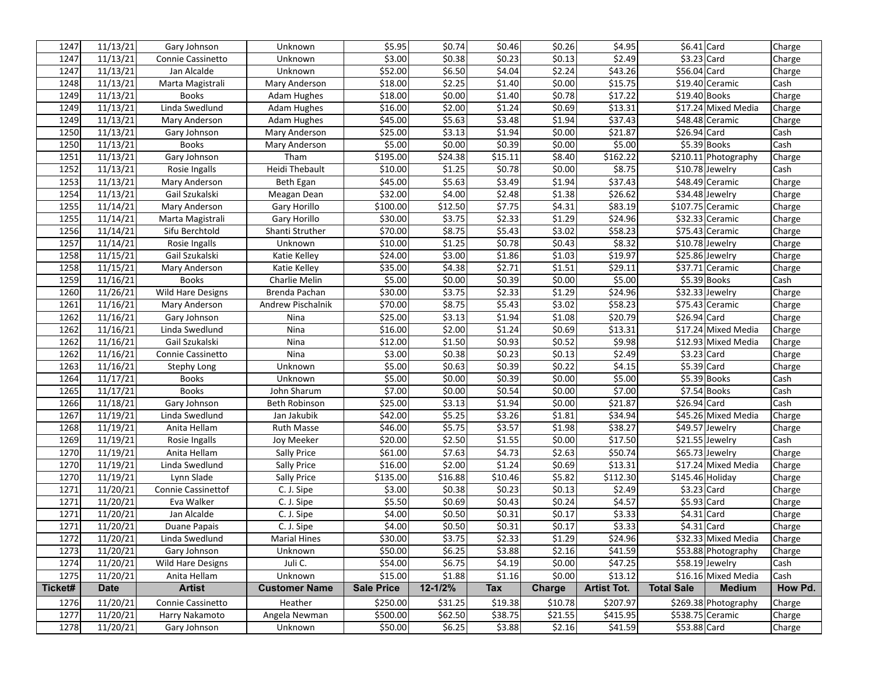| 1247    | 11/13/21    | Gary Johnson              | Unknown              | \$5.95            | \$0.74  | \$0.46     | \$0.26        | \$4.95             | $$6.41$ Card      |                      | Charge  |
|---------|-------------|---------------------------|----------------------|-------------------|---------|------------|---------------|--------------------|-------------------|----------------------|---------|
| 1247    | 11/13/21    | Connie Cassinetto         | Unknown              | \$3.00            | \$0.38  | \$0.23     | \$0.13        | \$2.49             | $$3.23$ Card      |                      | Charge  |
| 1247    | 11/13/21    | Jan Alcalde               | Unknown              | \$52.00           | \$6.50  | \$4.04     | \$2.24        | \$43.26            | \$56.04 Card      |                      | Charge  |
| 1248    | 11/13/21    | Marta Magistrali          | Mary Anderson        | \$18.00           | \$2.25  | \$1.40     | \$0.00        | \$15.75            |                   | \$19.40 Ceramic      | Cash    |
| 1249    | 11/13/21    | <b>Books</b>              | <b>Adam Hughes</b>   | \$18.00           | \$0.00  | \$1.40     | \$0.78        | \$17.22            | $$19.40$ Books    |                      | Charge  |
| 1249    | 11/13/21    | Linda Swedlund            | <b>Adam Hughes</b>   | \$16.00           | \$2.00  | \$1.24     | \$0.69        | \$13.31            |                   | \$17.24 Mixed Media  | Charge  |
| 1249    | 11/13/21    | Mary Anderson             | Adam Hughes          | \$45.00           | \$5.63  | \$3.48     | \$1.94        | \$37.43            |                   | \$48.48 Ceramic      | Charge  |
| 1250    | 11/13/21    | Gary Johnson              | Mary Anderson        | \$25.00           | \$3.13  | \$1.94     | \$0.00        | \$21.87            | \$26.94 Card      |                      | Cash    |
| 1250    | 11/13/21    | <b>Books</b>              | Mary Anderson        | \$5.00            | \$0.00  | \$0.39     | \$0.00        | \$5.00             |                   | $$5.39$ Books        | Cash    |
| 1251    | 11/13/21    | Gary Johnson              | Tham                 | \$195.00          | \$24.38 | \$15.11    | \$8.40        | \$162.22           |                   | \$210.11 Photography | Charge  |
| 1252    | 11/13/21    | Rosie Ingalls             | Heidi Thebault       | \$10.00           | \$1.25  | \$0.78     | \$0.00        | \$8.75             |                   | \$10.78 Jewelry      | Cash    |
| 1253    | 11/13/21    | Mary Anderson             | Beth Egan            | \$45.00           | \$5.63  | \$3.49     | \$1.94        | \$37.43            |                   | \$48.49 Ceramic      | Charge  |
| 1254    | 11/13/21    | Gail Szukalski            | Meagan Dean          | \$32.00           | \$4.00  | \$2.48     | \$1.38        | \$26.62            |                   | \$34.48 Jewelry      | Charge  |
| 1255    | 11/14/21    | Mary Anderson             | Gary Horillo         | \$100.00          | \$12.50 | \$7.75     | \$4.31        | \$83.19            |                   | \$107.75 Ceramic     | Charge  |
| 1255    | 11/14/21    | Marta Magistrali          | Gary Horillo         | \$30.00           | \$3.75  | \$2.33     | \$1.29        | \$24.96            |                   | \$32.33 Ceramic      | Charge  |
| 1256    | 11/14/21    | Sifu Berchtold            | Shanti Struther      | \$70.00           | \$8.75  | \$5.43     | \$3.02        | \$58.23            |                   | \$75.43 Ceramic      | Charge  |
| 1257    | 11/14/21    | Rosie Ingalls             | Unknown              | \$10.00           | \$1.25  | \$0.78     | \$0.43        | \$8.32             |                   | \$10.78 Jewelry      | Charge  |
| 1258    | 11/15/21    | Gail Szukalski            | Katie Kelley         | \$24.00           | \$3.00  | \$1.86     | \$1.03        | \$19.97            |                   | \$25.86 Jewelry      | Charge  |
| 1258    | 11/15/21    | Mary Anderson             | Katie Kelley         | \$35.00           | \$4.38  | \$2.71     | \$1.51        | \$29.11            |                   | \$37.71 Ceramic      | Charge  |
| 1259    | 11/16/21    | <b>Books</b>              | Charlie Melin        | \$5.00            | \$0.00  | \$0.39     | \$0.00        | \$5.00             |                   | $$5.39$ Books        | Cash    |
| 1260    | 11/26/21    | Wild Hare Designs         | Brenda Pachan        | \$30.00           | \$3.75  | \$2.33     | \$1.29        | \$24.96            |                   | \$32.33 Jewelry      | Charge  |
| 1261    | 11/16/21    | Mary Anderson             | Andrew Pischalnik    | \$70.00           | \$8.75  | \$5.43     | \$3.02        | \$58.23            |                   | \$75.43 Ceramic      | Charge  |
| 1262    | 11/16/21    | Gary Johnson              | Nina                 | \$25.00           | \$3.13  | \$1.94     | \$1.08        | \$20.79            | \$26.94 Card      |                      | Charge  |
| 1262    | 11/16/21    | Linda Swedlund            | Nina                 | \$16.00           | \$2.00  | \$1.24     | \$0.69        | \$13.31            |                   | \$17.24 Mixed Media  | Charge  |
| 1262    | 11/16/21    | Gail Szukalski            | Nina                 | \$12.00           | \$1.50  | \$0.93     | \$0.52        | \$9.98             |                   | \$12.93 Mixed Media  | Charge  |
| 1262    | 11/16/21    | Connie Cassinetto         | Nina                 | \$3.00            | \$0.38  | \$0.23     | \$0.13        | \$2.49             | $$3.23$ Card      |                      | Charge  |
| 1263    | 11/16/21    | Stephy Long               | Unknown              | \$5.00            | \$0.63  | \$0.39     | \$0.22        | \$4.15             | $$5.39$ Card      |                      | Charge  |
| 1264    | 11/17/21    | <b>Books</b>              | Unknown              | \$5.00            | \$0.00  | \$0.39     | \$0.00        | \$5.00             |                   | $$5.39$ Books        | Cash    |
| 1265    | 11/17/21    | <b>Books</b>              | John Sharum          | \$7.00            | \$0.00  | \$0.54     | \$0.00        | \$7.00             |                   | $$7.54$ Books        | Cash    |
| 1266    | 11/18/21    | Gary Johnson              | Beth Robinson        | \$25.00           | \$3.13  | \$1.94     | \$0.00        | \$21.87            | \$26.94 Card      |                      | Cash    |
| 1267    | 11/19/21    | Linda Swedlund            | Jan Jakubik          | \$42.00           | \$5.25  | \$3.26     | \$1.81        | \$34.94            |                   | \$45.26 Mixed Media  | Charge  |
| 1268    | 11/19/21    | Anita Hellam              | <b>Ruth Masse</b>    | \$46.00           | \$5.75  | \$3.57     | \$1.98        | \$38.27            |                   | \$49.57 Jewelry      | Charge  |
| 1269    | 11/19/21    | Rosie Ingalls             | Joy Meeker           | \$20.00           | \$2.50  | \$1.55     | \$0.00        | \$17.50            |                   | \$21.55 Jewelry      | Cash    |
| 1270    | 11/19/21    | Anita Hellam              | Sally Price          | \$61.00           | \$7.63  | \$4.73     | \$2.63        | \$50.74            |                   | \$65.73 Jewelry      | Charge  |
| 1270    | 11/19/21    | Linda Swedlund            | Sally Price          | \$16.00           | \$2.00  | \$1.24     | 50.69         | \$13.31            |                   | \$17.24 Mixed Media  | Charge  |
| 1270    | 11/19/21    | Lynn Slade                | <b>Sally Price</b>   | \$135.00          | \$16.88 | \$10.46    | \$5.82        | \$112.30           | $$145.46$ Holiday |                      | Charge  |
| 1271    | 11/20/21    | <b>Connie Cassinettof</b> | C. J. Sipe           | \$3.00            | \$0.38  | \$0.23     | \$0.13        | \$2.49             | \$3.23 Card       |                      | Charge  |
| 1271    | 11/20/21    | Eva Walker                | C. J. Sipe           | \$5.50            | \$0.69  | \$0.43     | \$0.24        | \$4.57             | \$5.93 Card       |                      | Charge  |
| 1271    | 11/20/21    | Jan Alcalde               | C. J. Sipe           | \$4.00            | \$0.50  | \$0.31     | \$0.17        | \$3.33             | $$4.31$ Card      |                      | Charge  |
| 1271    | 11/20/21    | Duane Papais              | C. J. Sipe           | \$4.00            | \$0.50  | \$0.31     | \$0.17        | \$3.33             | $$4.31$ Card      |                      | Charge  |
| 1272    | 11/20/21    | Linda Swedlund            | <b>Marial Hines</b>  | \$30.00           | \$3.75  | \$2.33     | \$1.29        | \$24.96            |                   | \$32.33 Mixed Media  | Charge  |
| 1273    | 11/20/21    | Gary Johnson              | Unknown              | \$50.00           | \$6.25  | 53.88      | \$2.16        | \$41.59            |                   | \$53.88 Photography  | Charge  |
| 1274    | 11/20/21    | Wild Hare Designs         | Juli C.              | \$54.00           | \$6.75  | \$4.19     | \$0.00        | \$47.25            |                   | \$58.19 Jewelry      | Cash    |
| 1275    | 11/20/21    | Anita Hellam              | Unknown              | \$15.00           | \$1.88  | \$1.16     | \$0.00        | \$13.12            |                   | \$16.16 Mixed Media  | Cash    |
| Ticket# | <b>Date</b> | <b>Artist</b>             | <b>Customer Name</b> | <b>Sale Price</b> | 12-1/2% | <b>Tax</b> | <b>Charge</b> | <b>Artist Tot.</b> | <b>Total Sale</b> | <b>Medium</b>        | How Pd. |
| 1276    | 11/20/21    | Connie Cassinetto         | Heather              | \$250.00          | \$31.25 | \$19.38    | \$10.78       | \$207.97           |                   | \$269.38 Photography | Charge  |
| 1277    | 11/20/21    | Harry Nakamoto            | Angela Newman        | \$500.00          | \$62.50 | \$38.75    | \$21.55       | \$415.95           |                   | \$538.75 Ceramic     | Charge  |
| 1278    | 11/20/21    | Gary Johnson              | Unknown              | \$50.00           | \$6.25  | \$3.88     | \$2.16        | \$41.59            | \$53.88 Card      |                      | Charge  |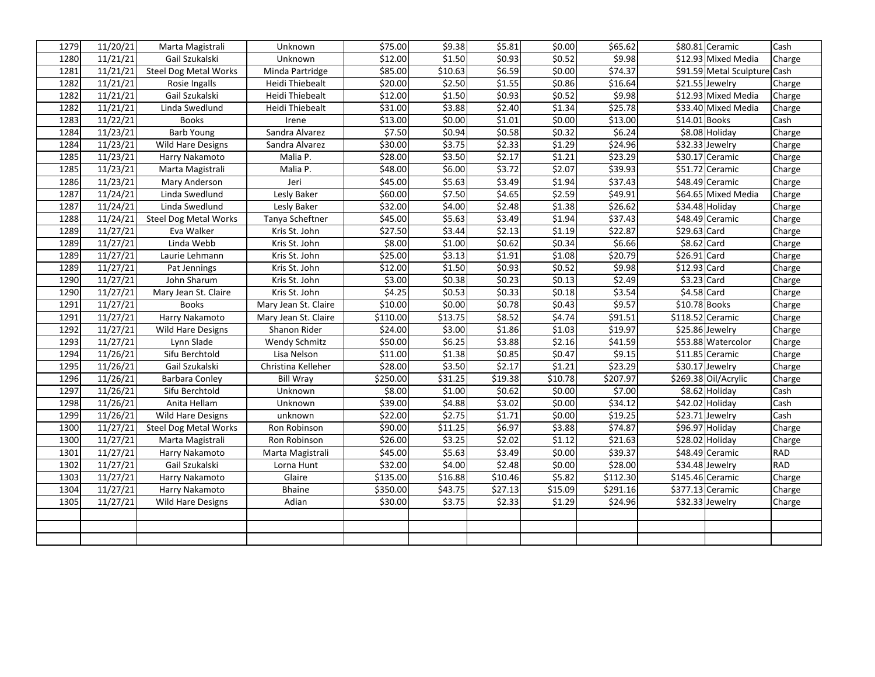| 1279 | 11/20/21 | Marta Magistrali             | Unknown                | 575.00   | \$9.38  | \$5.81  | \$0.00  | \$65.62  | \$80.81 Ceramic              | Cash   |
|------|----------|------------------------------|------------------------|----------|---------|---------|---------|----------|------------------------------|--------|
| 1280 | 11/21/21 | Gail Szukalski               | Unknown                | \$12.00  | \$1.50  | \$0.93  | \$0.52  | \$9.98   | \$12.93 Mixed Media          | Charge |
| 1281 | 11/21/21 | <b>Steel Dog Metal Works</b> | Minda Partridge        | \$85.00  | \$10.63 | \$6.59  | \$0.00  | \$74.37  | \$91.59 Metal Sculpture Cash |        |
| 1282 | 11/21/21 | Rosie Ingalls                | Heidi Thiebealt        | \$20.00  | \$2.50  | \$1.55  | \$0.86  | \$16.64  | $$21.55$ Jewelry             | Charge |
| 1282 | 11/21/21 | Gail Szukalski               | <b>Heidi Thiebealt</b> | \$12.00  | \$1.50  | \$0.93  | \$0.52  | \$9.98   | \$12.93 Mixed Media          | Charge |
| 1282 | 11/21/21 | Linda Swedlund               | Heidi Thiebealt        | \$31.00  | \$3.88  | \$2.40  | \$1.34  | \$25.78  | \$33.40 Mixed Media          | Charge |
| 1283 | 11/22/21 | <b>Books</b>                 | Irene                  | \$13.00  | \$0.00  | \$1.01  | \$0.00  | \$13.00  | $$14.01$ Books               | Cash   |
| 1284 | 11/23/21 | <b>Barb Young</b>            | Sandra Alvarez         | \$7.50   | \$0.94  | \$0.58  | \$0.32  | \$6.24   | \$8.08 Holiday               | Charge |
| 1284 | 11/23/21 | <b>Wild Hare Designs</b>     | Sandra Alvarez         | \$30.00  | \$3.75  | \$2.33  | \$1.29  | \$24.96  | \$32.33 Jewelry              | Charge |
| 1285 | 11/23/21 | Harry Nakamoto               | Malia P.               | \$28.00  | \$3.50  | \$2.17  | \$1.21  | \$23.29  | \$30.17 Ceramic              | Charge |
| 1285 | 11/23/21 | Marta Magistrali             | Malia P.               | \$48.00  | \$6.00  | \$3.72  | \$2.07  | \$39.93  | \$51.72 Ceramic              | Charge |
| 1286 | 11/23/21 | Mary Anderson                | Jeri                   | \$45.00  | \$5.63  | 53.49   | 51.94   | \$37.43  | \$48.49 Ceramic              | Charge |
| 1287 | 11/24/21 | Linda Swedlund               | Lesly Baker            | \$60.00  | \$7.50  | \$4.65  | \$2.59  | \$49.91  | \$64.65 Mixed Media          | Charge |
| 1287 | 11/24/21 | Linda Swedlund               | Lesly Baker            | \$32.00  | \$4.00  | \$2.48  | \$1.38  | \$26.62  | \$34.48 Holiday              | Charge |
| 1288 | 11/24/21 | <b>Steel Dog Metal Works</b> | Tanya Scheftner        | \$45.00  | \$5.63  | \$3.49  | \$1.94  | \$37.43  | \$48.49 Ceramic              | Charge |
| 1289 | 11/27/21 | Eva Walker                   | Kris St. John          | \$27.50  | \$3.44  | \$2.13  | \$1.19  | \$22.87  | \$29.63 Card                 | Charge |
| 1289 | 11/27/21 | Linda Webb                   | Kris St. John          | \$8.00   | \$1.00  | \$0.62  | \$0.34  | \$6.66   | $$8.62$ Card                 | Charge |
| 1289 | 11/27/21 | Laurie Lehmann               | Kris St. John          | \$25.00  | \$3.13  | \$1.91  | \$1.08  | \$20.79  | \$26.91 Card                 | Charge |
| 1289 | 11/27/21 | Pat Jennings                 | Kris St. John          | \$12.00  | \$1.50  | \$0.93  | \$0.52  | \$9.98   | $$12.93$ Card                | Charge |
| 1290 | 11/27/21 | John Sharum                  | Kris St. John          | \$3.00   | \$0.38  | \$0.23  | \$0.13  | \$2.49   | $$3.23$ Card                 | Charge |
| 1290 | 11/27/21 | Mary Jean St. Claire         | Kris St. John          | \$4.25   | \$0.53  | \$0.33  | \$0.18  | \$3.54   | $$4.58$ Card                 | Charge |
| 1291 | 11/27/21 | <b>Books</b>                 | Mary Jean St. Claire   | \$10.00  | \$0.00  | \$0.78  | \$0.43  | \$9.57   | \$10.78 Books                | Charge |
| 1291 | 11/27/21 | Harry Nakamoto               | Mary Jean St. Claire   | \$110.00 | \$13.75 | \$8.52  | \$4.74  | \$91.51  | \$118.52 Ceramic             | Charge |
| 1292 | 11/27/21 | Wild Hare Designs            | Shanon Rider           | \$24.00  | \$3.00  | \$1.86  | \$1.03  | \$19.97  | \$25.86 Jewelry              | Charge |
| 1293 | 11/27/21 | Lynn Slade                   | Wendy Schmitz          | \$50.00  | \$6.25  | \$3.88  | \$2.16  | \$41.59  | \$53.88 Watercolor           | Charge |
| 1294 | 11/26/21 | Sifu Berchtold               | Lisa Nelson            | \$11.00  | \$1.38  | \$0.85  | \$0.47  | \$9.15   | $$11.85$ Ceramic             | Charge |
| 1295 | 11/26/21 | Gail Szukalski               | Christina Kelleher     | \$28.00  | \$3.50  | \$2.17  | \$1.21  | \$23.29  | $\overline{$30.17}$ Jewelry  | Charge |
| 1296 | 11/26/21 | <b>Barbara Conley</b>        | <b>Bill Wray</b>       | \$250.00 | \$31.25 | \$19.38 | \$10.78 | \$207.97 | \$269.38 Oil/Acrylic         | Charge |
| 1297 | 11/26/21 | Sifu Berchtold               | Unknown                | \$8.00   | \$1.00  | \$0.62  | \$0.00  | \$7.00   | \$8.62 Holiday               | Cash   |
| 1298 | 11/26/21 | Anita Hellam                 | Unknown                | \$39.00  | \$4.88  | \$3.02  | \$0.00  | \$34.12  | \$42.02 Holiday              | Cash   |
| 1299 | 11/26/21 | Wild Hare Designs            | unknown                | \$22.00  | \$2.75  | \$1.71  | \$0.00  | \$19.25  | \$23.71 Jewelry              | Cash   |
| 1300 | 11/27/21 | <b>Steel Dog Metal Works</b> | Ron Robinson           | \$90.00  | \$11.25 | \$6.97  | \$3.88  | \$74.87  | \$96.97 Holiday              | Charge |
| 1300 | 11/27/21 | Marta Magistrali             | Ron Robinson           | \$26.00  | \$3.25  | \$2.02  | \$1.12  | \$21.63  | \$28.02 Holiday              | Charge |
| 1301 | 11/27/21 | Harry Nakamoto               | Marta Magistrali       | \$45.00  | \$5.63  | \$3.49  | \$0.00  | \$39.37  | \$48.49 Ceramic              | RAD    |
| 1302 | 11/27/21 | Gail Szukalski               | Lorna Hunt             | \$32.00  | \$4.00  | \$2.48  | \$0.00  | \$28.00  | \$34.48 Jewelry              | RAD    |
| 1303 | 11/27/21 | Harry Nakamoto               | Glaire                 | \$135.00 | \$16.88 | \$10.46 | \$5.82  | \$112.30 | \$145.46 Ceramic             | Charge |
| 1304 | 11/27/21 | Harry Nakamoto               | Bhaine                 | \$350.00 | \$43.75 | \$27.13 | \$15.09 | \$291.16 | \$377.13 Ceramic             | Charge |
| 1305 | 11/27/21 | <b>Wild Hare Designs</b>     | Adian                  | \$30.00  | \$3.75  | \$2.33  | \$1.29  | \$24.96  | \$32.33 Jewelry              | Charge |
|      |          |                              |                        |          |         |         |         |          |                              |        |
|      |          |                              |                        |          |         |         |         |          |                              |        |
|      |          |                              |                        |          |         |         |         |          |                              |        |
|      |          |                              |                        |          |         |         |         |          |                              |        |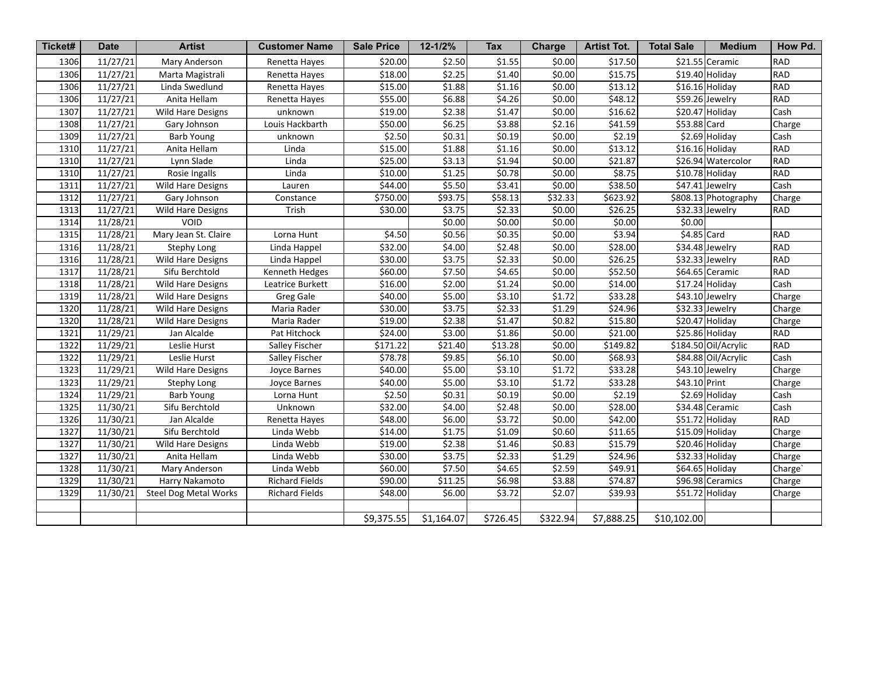| Ticket# | <b>Date</b>           | <b>Artist</b>                | <b>Customer Name</b>  | <b>Sale Price</b> | $12 - 1/2%$ | <b>Tax</b> | <b>Charge</b> | <b>Artist Tot.</b>  | <b>Total Sale</b> | <b>Medium</b>        | How Pd.    |
|---------|-----------------------|------------------------------|-----------------------|-------------------|-------------|------------|---------------|---------------------|-------------------|----------------------|------------|
| 1306    | 11/27/21              | Mary Anderson                | Renetta Hayes         | \$20.00           | \$2.50      | \$1.55     | \$0.00        | \$17.50             |                   | \$21.55 Ceramic      | <b>RAD</b> |
| 1306    | 11/27/21              | Marta Magistrali             | Renetta Hayes         | \$18.00           | \$2.25      | \$1.40     | \$0.00        | \$15.75             |                   | $$19.40$ Holiday     | RAD        |
| 1306    | 11/27/21              | Linda Swedlund               | Renetta Hayes         | \$15.00           | \$1.88      | \$1.16     | \$0.00        | \$13.12             |                   | \$16.16 Holiday      | RAD        |
| 1306    | 11/27/21              | Anita Hellam                 | Renetta Hayes         | \$55.00           | \$6.88      | \$4.26     | \$0.00        | \$48.12             |                   | \$59.26 Jewelry      | RAD        |
| 1307    | 11/27/21              | Wild Hare Designs            | unknown               | \$19.00           | \$2.38      | \$1.47     | \$0.00        | \$16.62             |                   | \$20.47 Holiday      | Cash       |
| 1308    | 11/27/21              | Gary Johnson                 | Louis Hackbarth       | \$50.00           | \$6.25      | \$3.88     | \$2.16        | \$41.59             | \$53.88 Card      |                      | Charge     |
| 1309    | 11/27/21              | <b>Barb Young</b>            | unknown               | \$2.50            | 50.31       | \$0.19     | \$0.00        | \$2.19              |                   | \$2.69 Holiday       | Cash       |
| 1310    | 11/27/21              | Anita Hellam                 | Linda                 | \$15.00           | 51.88       | \$1.16     | \$0.00        | \$13.12             |                   | \$16.16 Holiday      | RAD        |
| 1310    | 11/27/21              | Lynn Slade                   | Linda                 | \$25.00           | 53.13       | \$1.94     | \$0.00        | \$21.87             |                   | \$26.94 Watercolor   | RAD        |
| 1310    | 11/27/21              | Rosie Ingalls                | Linda                 | \$10.00           | \$1.25      | \$0.78     | \$0.00        | \$8.75              |                   | \$10.78 Holiday      | RAD        |
| 1311    | 11/27/21              | <b>Wild Hare Designs</b>     | Lauren                | \$44.00           | \$5.50      | \$3.41     | \$0.00        | \$38.50             |                   | \$47.41 Jewelry      | Cash       |
| 1312    | 11/27/21              | Gary Johnson                 | Constance             | \$750.00          | \$93.75     | \$58.13    | \$32.33       | \$623.92            |                   | \$808.13 Photography | Charge     |
| 1313    | 11/27/21              | Wild Hare Designs            | Trish                 | \$30.00           | \$3.75      | \$2.33     | \$0.00        | \$26.25             |                   | \$32.33 Jewelry      | RAD        |
| 1314    | 11/28/21              | <b>VOID</b>                  |                       |                   | \$0.00      | \$0.00     | \$0.00        | 50.00               | \$0.00            |                      |            |
| 1315    | 11/28/21              | Mary Jean St. Claire         | Lorna Hunt            | \$4.50            | \$0.56      | \$0.35     | \$0.00        | \$3.94              | $$4.85$ Card      |                      | RAD        |
| 1316    | 11/28/21              | Stephy Long                  | Linda Happel          | \$32.00           | \$4.00      | \$2.48     | \$0.00        | \$28.00             |                   | \$34.48 Jewelry      | RAD        |
| 1316    | 11/28/21              | Wild Hare Designs            | Linda Happel          | \$30.00           | \$3.75      | \$2.33     | \$0.00        | $\overline{$}26.25$ |                   | \$32.33 Jewelry      | RAD        |
| 1317    | 11/28/21              | Sifu Berchtold               | Kenneth Hedges        | \$60.00           | \$7.50      | \$4.65     | \$0.00        | \$52.50             |                   | \$64.65 Ceramic      | RAD        |
| 1318    | 11/28/21              | <b>Wild Hare Designs</b>     | Leatrice Burkett      | \$16.00           | \$2.00      | \$1.24     | \$0.00        | \$14.00             |                   | $$17.24$ Holiday     | Cash       |
| 1319    | 11/28/21              | Wild Hare Designs            | <b>Greg Gale</b>      | \$40.00           | \$5.00      | \$3.10     | \$1.72        | \$33.28             |                   | \$43.10 Jewelry      | Charge     |
| 1320    | 11/28/21              | <b>Wild Hare Designs</b>     | Maria Rader           | \$30.00           | \$3.75      | \$2.33     | \$1.29        | \$24.96             |                   | \$32.33 Jewelry      | Charge     |
| 1320    | 11/28/21              | Wild Hare Designs            | Maria Rader           | \$19.00           | \$2.38      | \$1.47     | \$0.82        | \$15.80             |                   | \$20.47 Holiday      | Charge     |
| 1321    | $\overline{11}/29/21$ | Jan Alcalde                  | Pat Hitchock          | \$24.00           | \$3.00      | \$1.86     | \$0.00        | \$21.00             |                   | \$25.86 Holiday      | <b>RAD</b> |
| 1322    | 11/29/21              | Leslie Hurst                 | Salley Fischer        | \$171.22          | \$21.40     | \$13.28    | \$0.00        | \$149.82            |                   | \$184.50 Oil/Acrylic | <b>RAD</b> |
| 1322    | 11/29/21              | Leslie Hurst                 | Salley Fischer        | \$78.78           | \$9.85      | \$6.10     | \$0.00        | \$68.93             |                   | \$84.88 Oil/Acrylic  | Cash       |
| 1323    | 11/29/21              | <b>Wild Hare Designs</b>     | Joyce Barnes          | \$40.00           | \$5.00      | \$3.10     | \$1.72        | \$33.28             |                   | \$43.10 Jewelry      | Charge     |
| 1323    | 11/29/21              | <b>Stephy Long</b>           | Joyce Barnes          | \$40.00           | \$5.00      | \$3.10     | \$1.72        | \$33.28             | \$43.10 Print     |                      | Charge     |
| 1324    | 11/29/21              | <b>Barb Young</b>            | Lorna Hunt            | \$2.50            | \$0.31      | \$0.19     | \$0.00        | \$2.19              |                   | \$2.69 Holiday       | Cash       |
| 1325    | 11/30/21              | Sifu Berchtold               | Unknown               | \$32.00           | \$4.00      | \$2.48     | \$0.00        | \$28.00             |                   | \$34.48 Ceramic      | Cash       |
| 1326    | 11/30/21              | Jan Alcalde                  | Renetta Hayes         | \$48.00           | \$6.00      | \$3.72     | \$0.00        | \$42.00             |                   | \$51.72 Holiday      | <b>RAD</b> |
| 1327    | 11/30/21              | Sifu Berchtold               | Linda Webb            | \$14.00           | \$1.75      | \$1.09     | \$0.60        | \$11.65             |                   | \$15.09 Holiday      | Charge     |
| 1327    | 11/30/21              | Wild Hare Designs            | Linda Webb            | \$19.00           | \$2.38      | \$1.46     | \$0.83        | \$15.79             |                   | \$20.46 Holiday      | Charge     |
| 1327    | 11/30/21              | Anita Hellam                 | Linda Webb            | \$30.00           | \$3.75      | \$2.33     | \$1.29        | 524.96              |                   | \$32.33 Holiday      | Charge     |
| 1328    | 11/30/21              | Mary Anderson                | Linda Webb            | \$60.00           | \$7.50      | \$4.65     | \$2.59        | \$49.91             |                   | \$64.65 Holiday      | Charge`    |
| 1329    | 11/30/21              | Harry Nakamoto               | <b>Richard Fields</b> | \$90.00           | \$11.25     | \$6.98     | \$3.88        | \$74.87             |                   | \$96.98 Ceramics     | Charge     |
| 1329    | 11/30/21              | <b>Steel Dog Metal Works</b> | <b>Richard Fields</b> | \$48.00           | \$6.00      | \$3.72     | \$2.07        | \$39.93             |                   | \$51.72 Holiday      | Charge     |
|         |                       |                              |                       |                   |             |            |               |                     |                   |                      |            |
|         |                       |                              |                       | \$9,375.55        | \$1,164.07  | \$726.45   | \$322.94      | \$7,888.25          | \$10,102.00       |                      |            |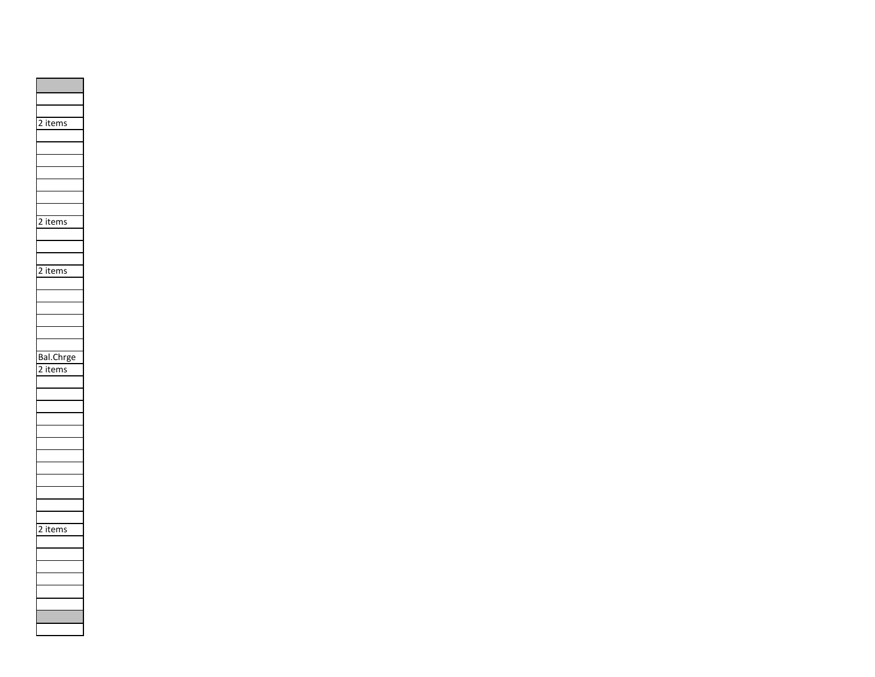|   | 2 items   |
|---|-----------|
|   |           |
|   |           |
|   |           |
|   |           |
|   |           |
|   |           |
|   |           |
| 2 | items     |
|   |           |
|   |           |
|   |           |
|   | 2 items   |
|   |           |
|   |           |
|   |           |
|   |           |
|   |           |
|   |           |
|   | Bal.Chrge |
|   | items     |
|   |           |
|   |           |
|   |           |
|   |           |
|   |           |
|   |           |
|   |           |
|   |           |
|   |           |
|   |           |
|   |           |
|   |           |
|   | 2 items   |
|   |           |
|   |           |
|   |           |
|   |           |
|   |           |
|   |           |
|   |           |
|   |           |
|   |           |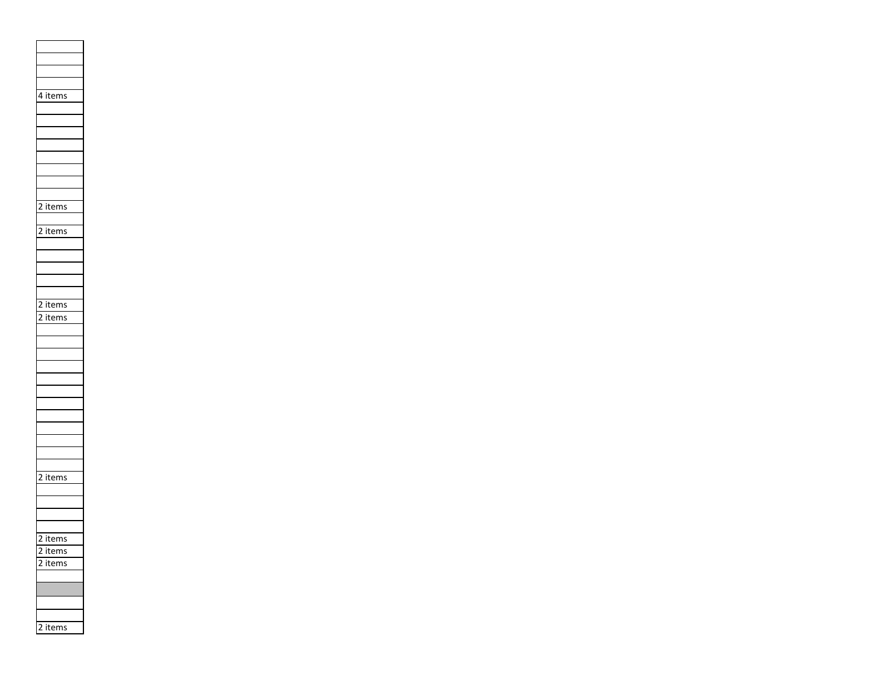|                | $\overline{4}$ items                      |
|----------------|-------------------------------------------|
|                |                                           |
|                |                                           |
|                |                                           |
|                |                                           |
|                |                                           |
|                |                                           |
|                |                                           |
|                |                                           |
|                |                                           |
|                |                                           |
|                |                                           |
|                | 2 items                                   |
|                |                                           |
|                | $\overline{\text{2 items}}$               |
|                |                                           |
|                |                                           |
|                |                                           |
|                |                                           |
|                |                                           |
|                |                                           |
|                |                                           |
|                |                                           |
|                | $\frac{2 \text{ items}}{2 \text{ items}}$ |
|                |                                           |
|                |                                           |
|                |                                           |
|                |                                           |
|                |                                           |
|                |                                           |
|                |                                           |
|                |                                           |
|                |                                           |
|                |                                           |
|                |                                           |
|                |                                           |
|                |                                           |
|                |                                           |
|                |                                           |
|                |                                           |
|                | $\overline{\text{2} \text{ items}}$       |
|                |                                           |
|                |                                           |
|                |                                           |
|                |                                           |
|                |                                           |
|                |                                           |
| 2              | <i>items</i>                              |
| $\overline{2}$ | items                                     |
| ,              | items                                     |
|                |                                           |
|                |                                           |
|                |                                           |
|                |                                           |
|                |                                           |
|                |                                           |
| $\overline{2}$ | items                                     |
|                |                                           |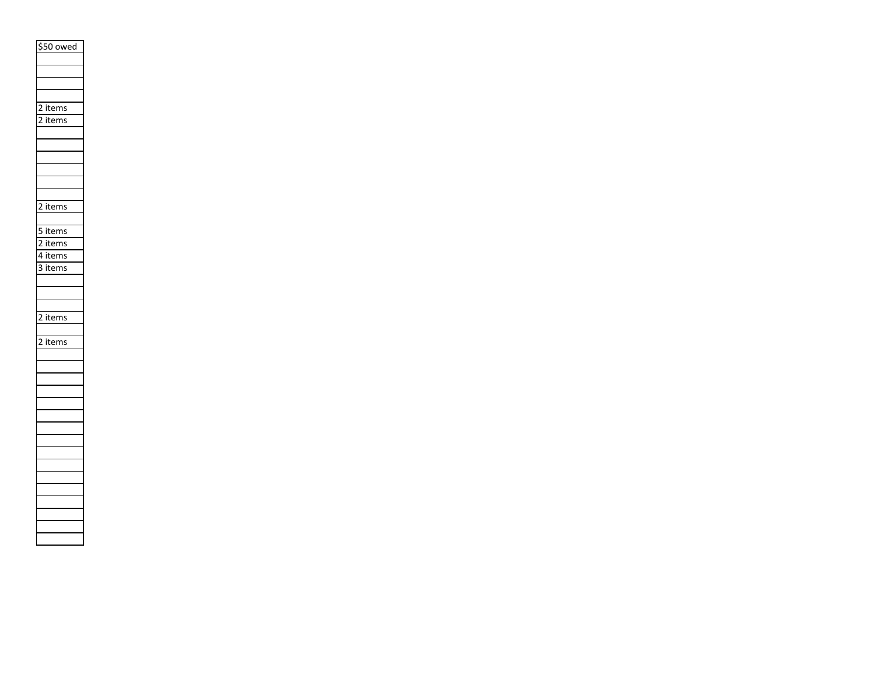| \$50 owed                                 |
|-------------------------------------------|
|                                           |
|                                           |
|                                           |
|                                           |
| $\frac{2 \text{ items}}{2 \text{ items}}$ |
| $\frac{1}{2}$ items                       |
|                                           |
|                                           |
|                                           |
|                                           |
|                                           |
|                                           |
| $\overline{2}$ items                      |
|                                           |
| 5 items                                   |
| $\frac{1}{2}$ items                       |
| 4 items                                   |
| 3 items                                   |
|                                           |
|                                           |
|                                           |
| 2 items                                   |
|                                           |
| $\overline{2}$ items                      |
|                                           |
|                                           |
|                                           |
|                                           |
|                                           |
|                                           |
|                                           |
|                                           |
|                                           |
|                                           |
|                                           |
|                                           |
|                                           |
|                                           |
|                                           |
|                                           |